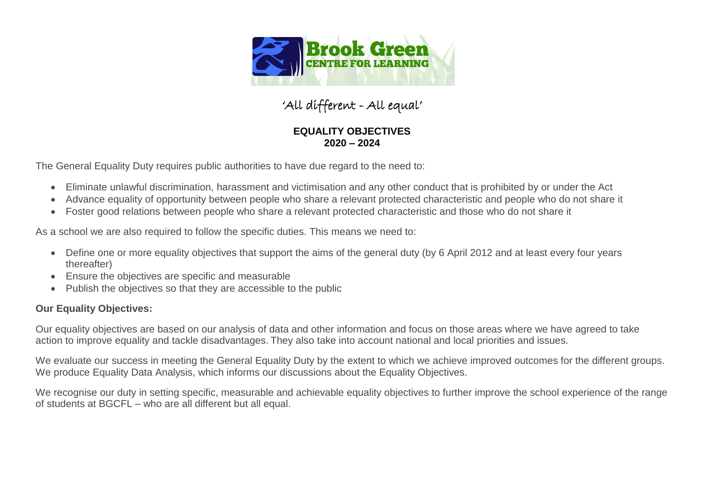

## 'All different - All equal'

## **EQUALITY OBJECTIVES 2020 – 2024**

The General Equality Duty requires public authorities to have due regard to the need to:

- Eliminate unlawful discrimination, harassment and victimisation and any other conduct that is prohibited by or under the Act
- Advance equality of opportunity between people who share a relevant protected characteristic and people who do not share it
- Foster good relations between people who share a relevant protected characteristic and those who do not share it

As a school we are also required to follow the specific duties. This means we need to:

- Define one or more equality objectives that support the aims of the general duty (by 6 April 2012 and at least every four years thereafter)
- Ensure the objectives are specific and measurable
- Publish the objectives so that they are accessible to the public

## **Our Equality Objectives:**

Our equality objectives are based on our analysis of data and other information and focus on those areas where we have agreed to take action to improve equality and tackle disadvantages. They also take into account national and local priorities and issues.

We evaluate our success in meeting the General Equality Duty by the extent to which we achieve improved outcomes for the different groups. We produce Equality Data Analysis, which informs our discussions about the Equality Objectives.

We recognise our duty in setting specific, measurable and achievable equality objectives to further improve the school experience of the range of students at BGCFL – who are all different but all equal.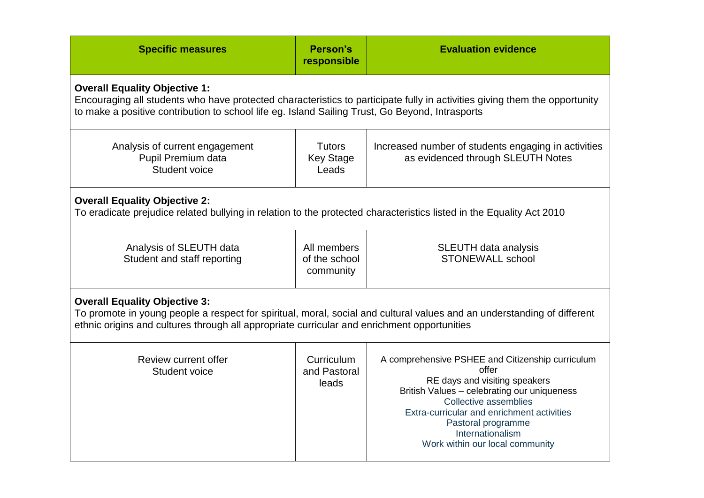| <b>Specific measures</b>                                                                                                                                                                                                                                              | Person's<br>responsible                    | <b>Evaluation evidence</b>                                                                                                                                                                                                                                                                    |  |  |
|-----------------------------------------------------------------------------------------------------------------------------------------------------------------------------------------------------------------------------------------------------------------------|--------------------------------------------|-----------------------------------------------------------------------------------------------------------------------------------------------------------------------------------------------------------------------------------------------------------------------------------------------|--|--|
| <b>Overall Equality Objective 1:</b><br>Encouraging all students who have protected characteristics to participate fully in activities giving them the opportunity<br>to make a positive contribution to school life eg. Island Sailing Trust, Go Beyond, Intrasports |                                            |                                                                                                                                                                                                                                                                                               |  |  |
| Analysis of current engagement<br>Pupil Premium data<br>Student voice                                                                                                                                                                                                 | <b>Tutors</b><br><b>Key Stage</b><br>Leads | Increased number of students engaging in activities<br>as evidenced through SLEUTH Notes                                                                                                                                                                                                      |  |  |
| <b>Overall Equality Objective 2:</b><br>To eradicate prejudice related bullying in relation to the protected characteristics listed in the Equality Act 2010                                                                                                          |                                            |                                                                                                                                                                                                                                                                                               |  |  |
| Analysis of SLEUTH data<br>Student and staff reporting                                                                                                                                                                                                                | All members<br>of the school<br>community  | <b>SLEUTH data analysis</b><br><b>STONEWALL school</b>                                                                                                                                                                                                                                        |  |  |
| <b>Overall Equality Objective 3:</b><br>To promote in young people a respect for spiritual, moral, social and cultural values and an understanding of different<br>ethnic origins and cultures through all appropriate curricular and enrichment opportunities        |                                            |                                                                                                                                                                                                                                                                                               |  |  |
| Review current offer<br>Student voice                                                                                                                                                                                                                                 | Curriculum<br>and Pastoral<br>leads        | A comprehensive PSHEE and Citizenship curriculum<br>offer<br>RE days and visiting speakers<br>British Values - celebrating our uniqueness<br>Collective assemblies<br>Extra-curricular and enrichment activities<br>Pastoral programme<br>Internationalism<br>Work within our local community |  |  |